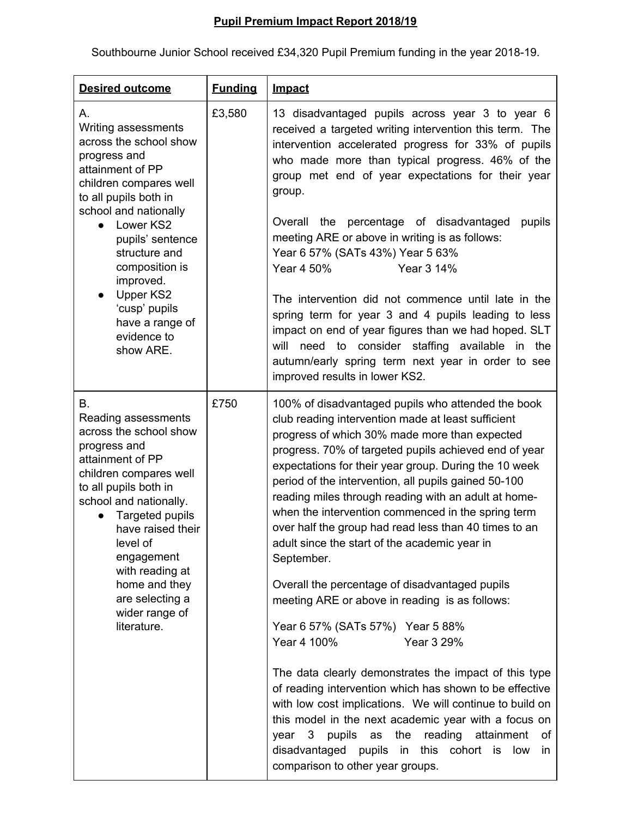## **Pupil Premium Impact Report 2018/19**

Southbourne Junior School received £34,320 Pupil Premium funding in the year 2018-19.

| <b>Desired outcome</b>                                                                                                                                                                                                                                                                                                                                | <b>Funding</b> | <b>Impact</b>                                                                                                                                                                                                                                                                                                                                                                                                                                                                                                                                                                                                                                                                                                                                                                                                                                                                                                                                                                                                                                                                                                                      |
|-------------------------------------------------------------------------------------------------------------------------------------------------------------------------------------------------------------------------------------------------------------------------------------------------------------------------------------------------------|----------------|------------------------------------------------------------------------------------------------------------------------------------------------------------------------------------------------------------------------------------------------------------------------------------------------------------------------------------------------------------------------------------------------------------------------------------------------------------------------------------------------------------------------------------------------------------------------------------------------------------------------------------------------------------------------------------------------------------------------------------------------------------------------------------------------------------------------------------------------------------------------------------------------------------------------------------------------------------------------------------------------------------------------------------------------------------------------------------------------------------------------------------|
| А.<br>Writing assessments<br>across the school show<br>progress and<br>attainment of PP<br>children compares well<br>to all pupils both in<br>school and nationally<br>Lower KS2<br>pupils' sentence<br>structure and<br>composition is<br>improved.<br><b>Upper KS2</b><br>$\bullet$<br>'cusp' pupils<br>have a range of<br>evidence to<br>show ARE. | £3,580         | 13 disadvantaged pupils across year 3 to year 6<br>received a targeted writing intervention this term. The<br>intervention accelerated progress for 33% of pupils<br>who made more than typical progress. 46% of the<br>group met end of year expectations for their year<br>group.<br>Overall the percentage of disadvantaged<br>pupils<br>meeting ARE or above in writing is as follows:<br>Year 6 57% (SATs 43%) Year 5 63%<br>Year 4 50%<br>Year 3 14%<br>The intervention did not commence until late in the<br>spring term for year 3 and 4 pupils leading to less<br>impact on end of year figures than we had hoped. SLT<br>will need to consider staffing available in the<br>autumn/early spring term next year in order to see<br>improved results in lower KS2.                                                                                                                                                                                                                                                                                                                                                        |
| В.<br>Reading assessments<br>across the school show<br>progress and<br>attainment of PP<br>children compares well<br>to all pupils both in<br>school and nationally.<br>Targeted pupils<br>have raised their<br>level of<br>engagement<br>with reading at<br>home and they<br>are selecting a<br>wider range of<br>literature.                        | £750           | 100% of disadvantaged pupils who attended the book<br>club reading intervention made at least sufficient<br>progress of which 30% made more than expected<br>progress. 70% of targeted pupils achieved end of year<br>expectations for their year group. During the 10 week<br>period of the intervention, all pupils gained 50-100<br>reading miles through reading with an adult at home-<br>when the intervention commenced in the spring term<br>over half the group had read less than 40 times to an<br>adult since the start of the academic year in<br>September.<br>Overall the percentage of disadvantaged pupils<br>meeting ARE or above in reading is as follows:<br>Year 6 57% (SATs 57%) Year 5 88%<br>Year 4 100%<br>Year 3 29%<br>The data clearly demonstrates the impact of this type<br>of reading intervention which has shown to be effective<br>with low cost implications. We will continue to build on<br>this model in the next academic year with a focus on<br>pupils as the reading attainment<br>year 3<br>of<br>disadvantaged pupils in this cohort is low<br>in<br>comparison to other year groups. |